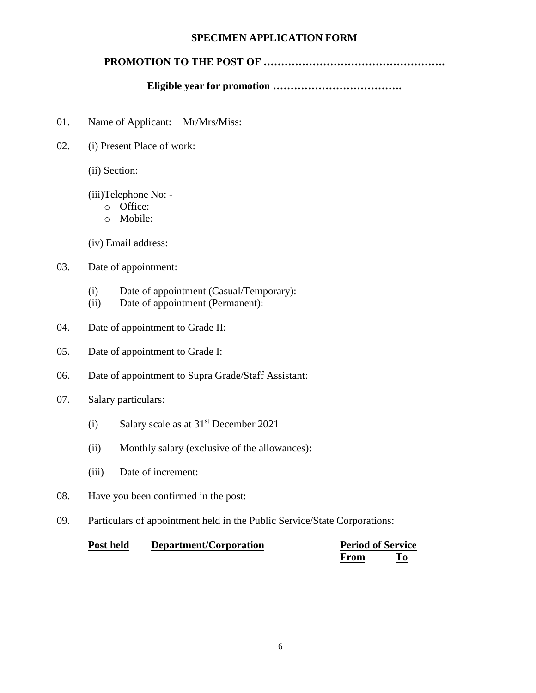## **SPECIMEN APPLICATION FORM**

## **PROMOTION TO THE POST OF …………………………………………….**

#### **Eligible year for promotion ……………………………….**

- 01. Name of Applicant: Mr/Mrs/Miss:
- 02. (i) Present Place of work:
	- (ii) Section:
	- (iii)Telephone No:
		- o Office:
		- o Mobile:

(iv) Email address:

### 03. Date of appointment:

- (i) Date of appointment (Casual/Temporary):
- (ii) Date of appointment (Permanent):
- 04. Date of appointment to Grade II:
- 05. Date of appointment to Grade I:
- 06. Date of appointment to Supra Grade/Staff Assistant:
- 07. Salary particulars:
	- (i) Salary scale as at  $31<sup>st</sup>$  December 2021
	- (ii) Monthly salary (exclusive of the allowances):
	- (iii) Date of increment:
- 08. Have you been confirmed in the post:
- 09. Particulars of appointment held in the Public Service/State Corporations:

| Post held | Department/Corporation |      | <b>Period of Service</b> |  |
|-----------|------------------------|------|--------------------------|--|
|           |                        | From |                          |  |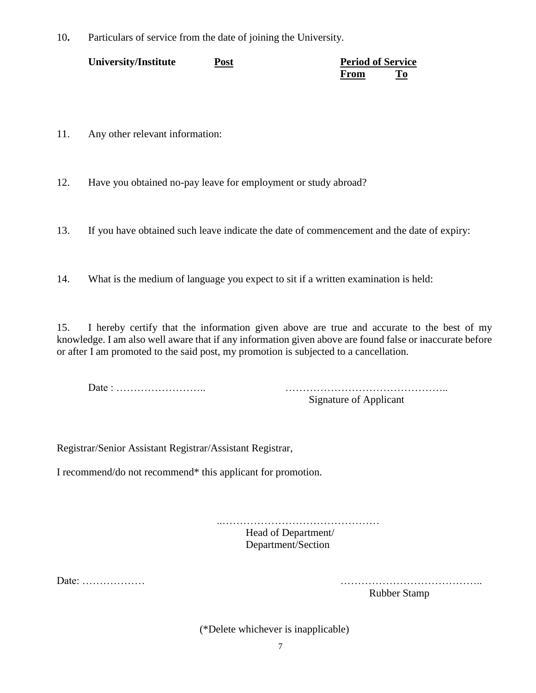10**.** Particulars of service from the date of joining the University.

| University/Institute | Post |      | <b>Period of Service</b> |  |
|----------------------|------|------|--------------------------|--|
|                      |      | From |                          |  |

11. Any other relevant information:

12. Have you obtained no-pay leave for employment or study abroad?

13. If you have obtained such leave indicate the date of commencement and the date of expiry:

14. What is the medium of language you expect to sit if a written examination is held:

15. I hereby certify that the information given above are true and accurate to the best of my knowledge. I am also well aware that if any information given above are found false or inaccurate before or after I am promoted to the said post, my promotion is subjected to a cancellation.

Date : …………………….. ………………………………………..

Signature of Applicant

Registrar/Senior Assistant Registrar/Assistant Registrar,

I recommend/do not recommend\* this applicant for promotion.

..……………………………………… Head of Department/ Department/Section

Date: ……………… …………………………………..

Rubber Stamp

(\*Delete whichever is inapplicable)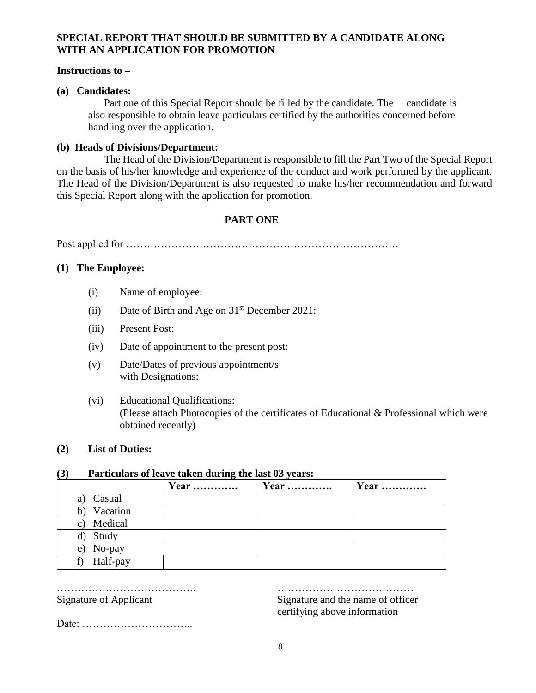# **SPECIAL REPORT THAT SHOULD BE SUBMITTED BY A CANDIDATE ALONG WITH AN APPLICATION FOR PROMOTION**

### **Instructions to –**

## **(a) Candidates:**

Part one of this Special Report should be filled by the candidate. The candidate is also responsible to obtain leave particulars certified by the authorities concerned before handling over the application.

## **(b) Heads of Divisions/Department:**

 The Head of the Division/Department is responsible to fill the Part Two of the Special Report on the basis of his/her knowledge and experience of the conduct and work performed by the applicant. The Head of the Division/Department is also requested to make his/her recommendation and forward this Special Report along with the application for promotion.

# **PART ONE**

Post applied for ……………………………………………………………………

## **(1) The Employee:**

- (i) Name of employee:
- (ii) Date of Birth and Age on  $31<sup>st</sup>$  December 2021:
- (iii) Present Post:
- (iv) Date of appointment to the present post:
- (v) Date/Dates of previous appointment/s with Designations:
- (vi) Educational Qualifications: (Please attach Photocopies of the certificates of Educational & Professional which were obtained recently)

### **(2) List of Duties:**

## **(3) Particulars of leave taken during the last 03 years:**

|                | <b>Year</b> | <b>Year</b> | Year |
|----------------|-------------|-------------|------|
| Casual<br>a)   |             |             |      |
| Vacation       |             |             |      |
| Medical<br>C)  |             |             |      |
| Study<br>d)    |             |             |      |
| No-pay<br>e)   |             |             |      |
| Half-pay<br>f) |             |             |      |

…………………………………. ………………………………… Signature of Applicant Signature and the name of officer certifying above information

Date: …………………………..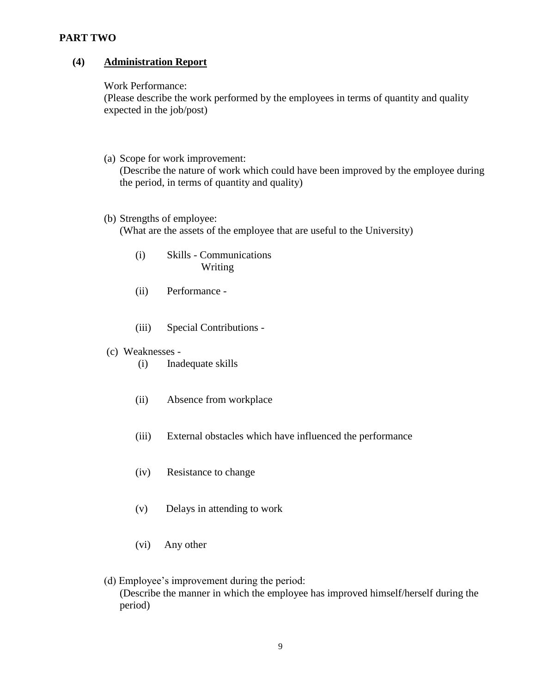### **PART TWO**

## **(4) Administration Report**

#### Work Performance:

(Please describe the work performed by the employees in terms of quantity and quality expected in the job/post)

(a) Scope for work improvement:

(Describe the nature of work which could have been improved by the employee during the period, in terms of quantity and quality)

(b) Strengths of employee:

(What are the assets of the employee that are useful to the University)

- (i) Skills Communications Writing
- (ii) Performance -
- (iii) Special Contributions -
- (c) Weaknesses
	- (i) Inadequate skills
	- (ii) Absence from workplace
	- (iii) External obstacles which have influenced the performance
	- (iv) Resistance to change
	- (v) Delays in attending to work
	- (vi) Any other
- (d) Employee's improvement during the period: (Describe the manner in which the employee has improved himself/herself during the period)